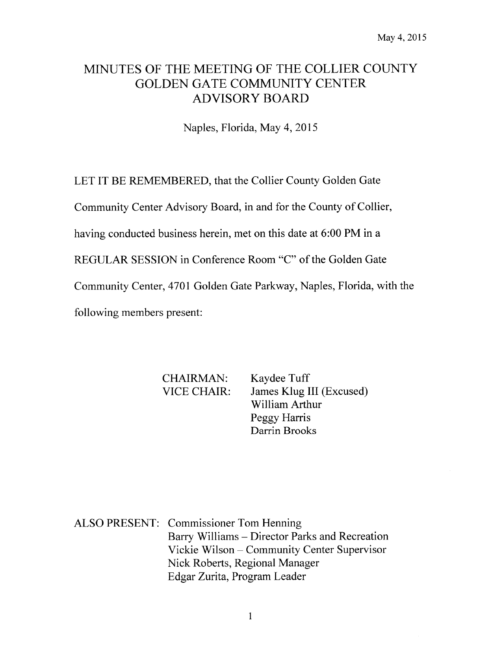# MINUTES OF THE MEETING OF THE COLLIER COUNTY GOLDEN GATE COMMUNITY CENTER ADVISORY BOARD

Naples, Florida, May 4, 2015

LET IT BE REMEMBERED, that the Collier County Golden Gate

Community Center Advisory Board, in and for the County of Collier,

having conducted business herein, met on this date at 6:00 PM in a

REGULAR SESSION in Conference Room "C" of the Golden Gate

Community Center, 4701 Golden Gate Parkway, Naples, Florida, with the

following members present:

CHAIRMAN: Kaydee Tuff

VICE CHAIR: James Klug III (Excused) William Arthur Peggy Harris Darrin Brooks

ALSO PRESENT: Commissioner Tom Henning Barry Williams — Director Parks and Recreation Vickie Wilson— Community Center Supervisor Nick Roberts, Regional Manager Edgar Zurita, Program Leader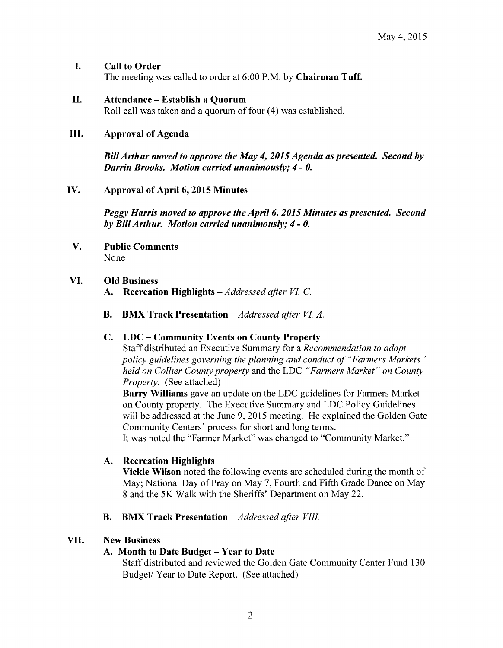## I. Call to Order

The meeting was called to order at 6:00 P.M. by Chairman Tuff.

## II. Attendance—Establish <sup>a</sup> Quorum

Roll call was taken and a quorum of four (4) was established.

#### III. Approval of Agenda

BillArthur moved to approve the May 4, 2015 Agenda as presented. Second by Darrin Brooks. Motion carried unanimously; 4- 0.

## IV. Approval of April 6, 2015 Minutes

Peggy Harris moved to approve the April 6, 2015 Minutes as presented. Second by BillArthur. Motion carried unanimously; 4- 0.

V. Public Comments None

## VI. Old Business

- A. Recreation Highlights Addressed after VI. C.
- B. BMX Track Presentation Addressed after VI. A.

## C. LDC—Community Events on County Property

Staff distributed an Executive Summary for a Recommendation to adopt policy guidelines governing the planning and conduct of "Farmers Markets" held on Collier County property and the LDC "Farmers Market" on County Property. (See attached)

Barry Williams gave an update on the LDC guidelines for Farmers Market on County property. The Executive Summary and LDC Policy Guidelines will be addressed at the June 9, 2015 meeting. He explained the Golden Gate Community Centers' process for short and long terms.

It was noted the "Farmer Market" was changed to "Community Market."

## A. Recreation Highlights

Vickie Wilson noted the following events are scheduled during the month of May; National Day of Pray on May 7, Fourth and Fifth Grade Dance on May <sup>8</sup> and the 5K Walk with the Sheriffs' Department on May 22.

## B. BMX Track Presentation - Addressed after VIII.

## VII. New Business

## A. Month to Date Budget—Year to Date

Staff distributed and reviewed the Golden Gate Community Center Fund 130 Budget/ Year to Date Report. (See attached)